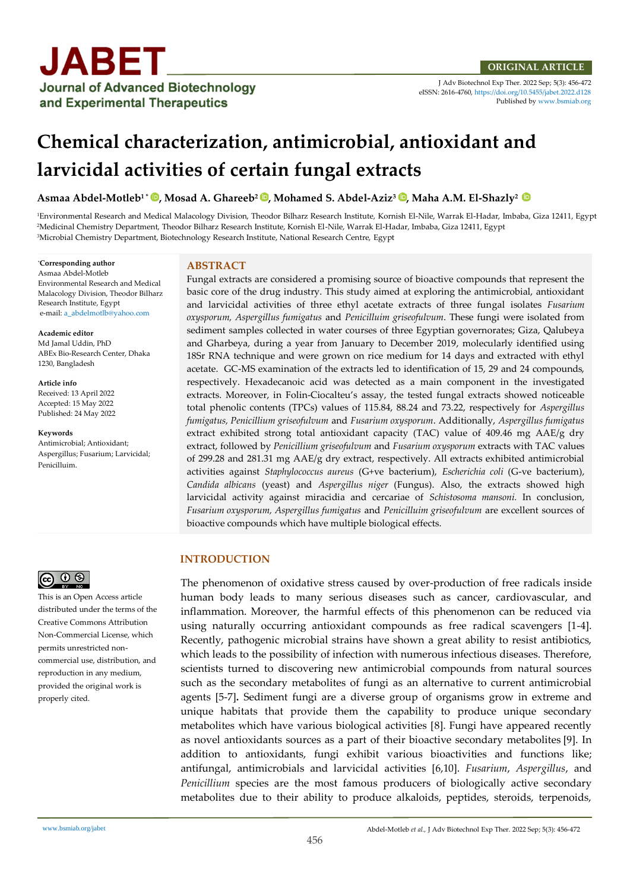J Adv Biotechnol Exp Ther. 2022 Sep; 5(3): 456-472 eISSN: 2616-4760[, https://doi.org/10.5455/jabet.2022.d128](https://doi.org/10.5455/jabet.2022.d128)  Published b[y www.bsmiab.org](http://www.bsmiab.org/)

# **Chemical characterization, antimicrobial, antioxidant and larvicidal activities of certain fungal extracts**

**Asmaa Abdel-Motleb1 \* [,](https://orcid.org/0000-0001-5050-8046) Mosad A. Ghareeb<sup>2</sup> [,](https://orcid.org/0000-0002-8398-1937) Mohamed S. Abdel-Aziz<sup>3</sup> , Maha A.M. El-Shazly<sup>2</sup>**

<sup>1</sup>Environmental Research and Medical Malacology Division, Theodor Bilharz Research Institute, Kornish El-Nile, Warrak El-Hadar, Imbaba, Giza 12411, Egypt <sup>2</sup>Medicinal Chemistry Department, Theodor Bilharz Research Institute, Kornish El-Nile, Warrak El-Hadar, Imbaba, Giza 12411, Egypt <sup>3</sup>Microbial Chemistry Department, Biotechnology Research Institute, National Research Centre, Egypt

\***Corresponding author** Asmaa Abdel-Motleb Environmental Research and Medical Malacology Division, Theodor Bilharz Research Institute, Egypt e-mail[: a\\_abdelmotlb@yahoo.com](mailto:a_abdelmotlb@yahoo.com)

**Academic editor**  Md Jamal Uddin, PhD ABEx Bio-Research Center, Dhaka 1230, Bangladesh

#### **Article info**

Received: 13 April 2022 Accepted: 15 May 2022 Published: 24 May 2022

**Keywords**

Antimicrobial; Antioxidant; Aspergillus; Fusarium; Larvicidal; Penicilluim.



This is an Open Access article distributed under the terms of the Creative Commons Attribution Non-Commercial License, which permits unrestricted noncommercial use, distribution, and reproduction in any medium, provided the original work is properly cited.

#### **ABSTRACT**

Fungal extracts are considered a promising source of bioactive compounds that represent the basic core of the drug industry. This study aimed at exploring the antimicrobial, antioxidant and larvicidal activities of three ethyl acetate extracts of three fungal isolates *Fusarium oxysporum, Aspergillus fumigatus* and *Penicilluim griseofulvum*. These fungi were isolated from sediment samples collected in water courses of three Egyptian governorates; Giza, Qalubeya and Gharbeya, during a year from January to December 2019, molecularly identified using 18Sr RNA technique and were grown on rice medium for 14 days and extracted with ethyl acetate. GC-MS examination of the extracts led to identification of 15, 29 and 24 compounds, respectively. Hexadecanoic acid was detected as a main component in the investigated extracts. Moreover, in Folin-Ciocalteu's assay, the tested fungal extracts showed noticeable total phenolic contents (TPCs) values of 115.84, 88.24 and 73.22, respectively for *Aspergillus fumigatus, Penicillium griseofulvum* and *Fusarium oxysporum*. Additionally, *Aspergillus fumigatus* extract exhibited strong total antioxidant capacity (TAC) value of 409.46 mg AAE/g dry extract, followed by *Penicillium griseofulvum* and *Fusarium oxysporum* extracts with TAC values of 299.28 and 281.31 mg AAE/g dry extract, respectively. All extracts exhibited antimicrobial activities against *Staphylococcus aureus* (G+ve bacterium), *Escherichia coli* (G-ve bacterium), *Candida albicans* (yeast) and *Aspergillus niger* (Fungus). Also, the extracts showed high larvicidal activity against miracidia and cercariae of *Schistosoma mansoni.* In conclusion, *Fusarium oxysporum, Aspergillus fumigatus* and *Penicilluim griseofulvum* are excellent sources of bioactive compounds which have multiple biological effects.

## **INTRODUCTION**

The phenomenon of oxidative stress caused by over-production of free radicals inside human body leads to many serious diseases such as cancer, cardiovascular, and inflammation. Moreover, the harmful effects of this phenomenon can be reduced via using naturally occurring antioxidant compounds as free radical scavengers [1-4]. Recently, pathogenic microbial strains have shown a great ability to resist antibiotics, which leads to the possibility of infection with numerous infectious diseases. Therefore, scientists turned to discovering new antimicrobial compounds from natural sources such as the secondary metabolites of fungi as an alternative to current antimicrobial agents [5-7]**.** Sediment fungi are a diverse group of organisms grow in extreme and unique habitats that provide them the capability to produce unique secondary metabolites which have various biological activities [8]. Fungi have appeared recently as novel antioxidants sources as a part of their bioactive secondary metabolites [9]. In addition to antioxidants, fungi exhibit various bioactivities and functions like; antifungal, antimicrobials and larvicidal activities [6,10]. *Fusarium*, *Aspergillus*, and *Penicillium* species are the most famous producers of biologically active secondary metabolites due to their ability to produce alkaloids, peptides, steroids, terpenoids,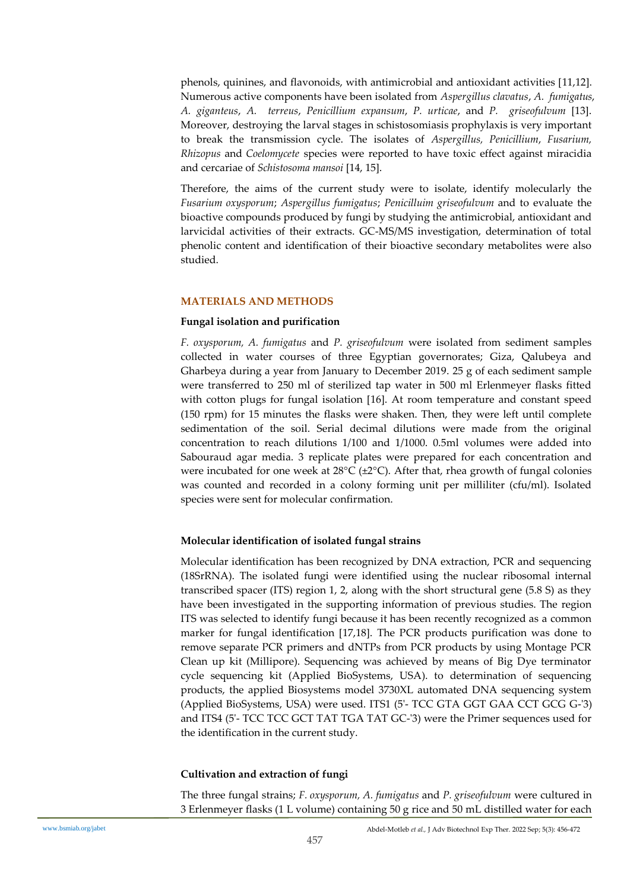phenols, quinines, and flavonoids, with antimicrobial and antioxidant activities [11,12]. Numerous active components have been isolated from *Aspergillus clavatus*, *A. fumigatus*, *A. giganteus*, *A. terreus*, *Penicillium expansum*, *P. urticae*, and *P. griseofulvum* [13]. Moreover, destroying the larval stages in schistosomiasis prophylaxis is very important to break the transmission cycle. The isolates of *Aspergillus, Penicillium*, *Fusarium, Rhizopus* and *Coelomycete* species were reported to have toxic effect against miracidia and cercariae of *Schistosoma mansoi* [14, 15].

Therefore, the aims of the current study were to isolate, identify molecularly the *Fusarium oxysporum*; *Aspergillus fumigatus*; *Penicilluim griseofulvum* and to evaluate the bioactive compounds produced by fungi by studying the antimicrobial, antioxidant and larvicidal activities of their extracts. GC-MS/MS investigation, determination of total phenolic content and identification of their bioactive secondary metabolites were also studied.

## **MATERIALS AND METHODS**

## **Fungal isolation and purification**

*F. oxysporum, A. fumigatus* and *P. griseofulvum* were isolated from sediment samples collected in water courses of three Egyptian governorates; Giza, Qalubeya and Gharbeya during a year from January to December 2019. 25 g of each sediment sample were transferred to 250 ml of sterilized tap water in 500 ml Erlenmeyer flasks fitted with cotton plugs for fungal isolation [16]. At room temperature and constant speed (150 rpm) for 15 minutes the flasks were shaken. Then, they were left until complete sedimentation of the soil. Serial decimal dilutions were made from the original concentration to reach dilutions 1/100 and 1/1000. 0.5ml volumes were added into Sabouraud agar media. 3 replicate plates were prepared for each concentration and were incubated for one week at 28 $\rm ^{\circ}C$  ( $\rm \pm 2^{\circ}C$ ). After that, rhea growth of fungal colonies was counted and recorded in a colony forming unit per milliliter (cfu/ml). Isolated species were sent for molecular confirmation.

## **Molecular identification of isolated fungal strains**

Molecular identification has been recognized by DNA extraction, PCR and sequencing (18SrRNA). The isolated fungi were identified using the nuclear ribosomal internal transcribed spacer (ITS) region 1, 2, along with the short structural gene (5.8 S) as they have been investigated in the supporting information of previous studies. The region ITS was selected to identify fungi because it has been recently recognized as a common marker for fungal identification [17,18]. The PCR products purification was done to remove separate PCR primers and dNTPs from PCR products by using Montage PCR Clean up kit (Millipore). Sequencing was achieved by means of Big Dye terminator cycle sequencing kit (Applied BioSystems, USA). to determination of sequencing products, the applied Biosystems model 3730XL automated DNA sequencing system (Applied BioSystems, USA) were used. ITS1 (5'- TCC GTA GGT GAA CCT GCG G-'3) and ITS4 (5'- TCC TCC GCT TAT TGA TAT GC-'3) were the Primer sequences used for the identification in the current study.

## **Cultivation and extraction of fungi**

The three fungal strains; *F. oxysporum, A. fumigatus* and *P. griseofulvum* were cultured in 3 Erlenmeyer flasks (1 L volume) containing 50 g rice and 50 mL distilled water for each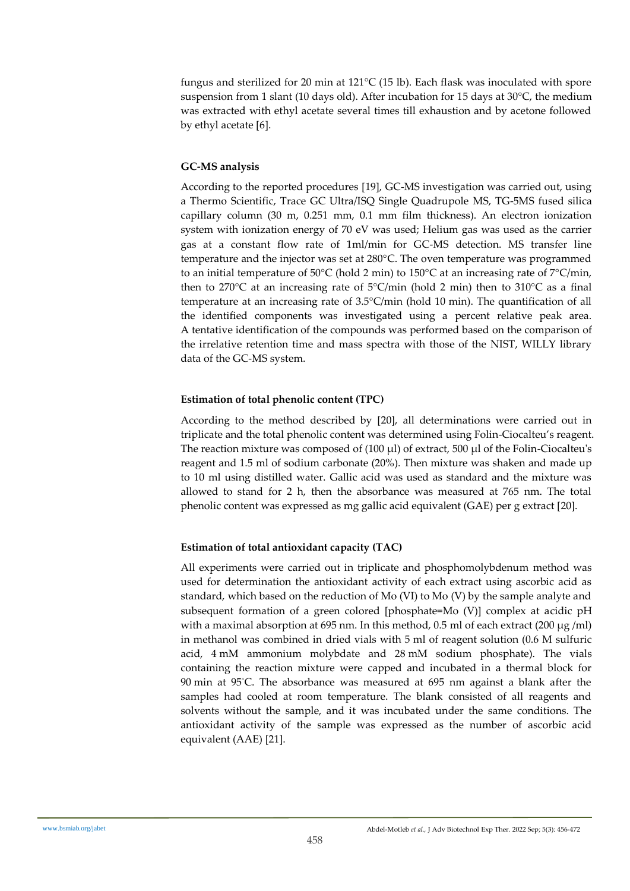fungus and sterilized for 20 min at 121°C (15 lb). Each flask was inoculated with spore suspension from 1 slant (10 days old). After incubation for 15 days at 30°C, the medium was extracted with ethyl acetate several times till exhaustion and by acetone followed by ethyl acetate [6].

## **GC-MS analysis**

According to the reported procedures [19], GC-MS investigation was carried out, using a Thermo Scientific, Trace GC Ultra/ISQ Single Quadrupole MS, TG-5MS fused silica capillary column (30 m, 0.251 mm, 0.1 mm film thickness). An electron ionization system with ionization energy of 70 eV was used; Helium gas was used as the carrier gas at a constant flow rate of 1ml/min for GC-MS detection. MS transfer line temperature and the injector was set at 280°C. The oven temperature was programmed to an initial temperature of 50 $\degree$ C (hold 2 min) to 150 $\degree$ C at an increasing rate of 7 $\degree$ C/min, then to 270 $\degree$ C at an increasing rate of 5 $\degree$ C/min (hold 2 min) then to 310 $\degree$ C as a final temperature at an increasing rate of 3.5°C/min (hold 10 min). The quantification of all the identified components was investigated using a percent relative peak area. A tentative identification of the compounds was performed based on the comparison of the irrelative retention time and mass spectra with those of the NIST, WILLY library data of the GC-MS system.

## **Estimation of total phenolic content (TPC)**

According to the method described by [20], all determinations were carried out in triplicate and the total phenolic content was determined using Folin-Ciocalteu's reagent. The reaction mixture was composed of  $(100 \mu l)$  of extract, 500  $\mu l$  of the Folin-Ciocalteu's reagent and 1.5 ml of sodium carbonate (20%). Then mixture was shaken and made up to 10 ml using distilled water. Gallic acid was used as standard and the mixture was allowed to stand for 2 h, then the absorbance was measured at 765 nm. The total phenolic content was expressed as mg gallic acid equivalent (GAE) per g extract [20].

## **Estimation of total antioxidant capacity (TAC)**

All experiments were carried out in triplicate and phosphomolybdenum method was used for determination the antioxidant activity of each extract using ascorbic acid as standard, which based on the reduction of Mo (VI) to Mo (V) by the sample analyte and subsequent formation of a green colored [phosphate=Mo (V)] complex at acidic pH with a maximal absorption at 695 nm. In this method, 0.5 ml of each extract (200  $\mu$ g/ml) in methanol was combined in dried vials with 5 ml of reagent solution (0.6 M sulfuric acid, 4 mM ammonium molybdate and 28 mM sodium phosphate). The vials containing the reaction mixture were capped and incubated in a thermal block for 90 min at 95°C. The absorbance was measured at 695 nm against a blank after the samples had cooled at room temperature. The blank consisted of all reagents and solvents without the sample, and it was incubated under the same conditions. The antioxidant activity of the sample was expressed as the number of ascorbic acid equivalent (AAE) [21].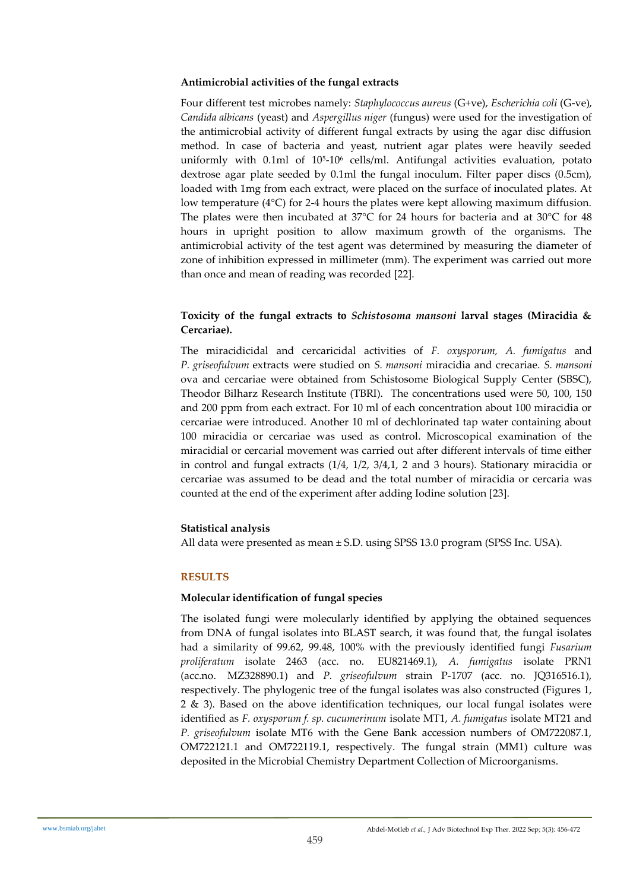## **Antimicrobial activities of the fungal extracts**

Four different test microbes namely: *Staphylococcus aureus* (G+ve), *Escherichia coli* (G-ve), *Candida albicans* (yeast) and *Aspergillus niger* (fungus) were used for the investigation of the antimicrobial activity of different fungal extracts by using the agar disc diffusion method. In case of bacteria and yeast, nutrient agar plates were heavily seeded uniformly with 0.1ml of 10<sup>5</sup> -10<sup>6</sup> cells/ml. Antifungal activities evaluation, potato dextrose agar plate seeded by 0.1ml the fungal inoculum. Filter paper discs (0.5cm), loaded with 1mg from each extract, were placed on the surface of inoculated plates. At low temperature (4°C) for 2-4 hours the plates were kept allowing maximum diffusion. The plates were then incubated at  $37^{\circ}$ C for 24 hours for bacteria and at  $30^{\circ}$ C for 48 hours in upright position to allow maximum growth of the organisms. The antimicrobial activity of the test agent was determined by measuring the diameter of zone of inhibition expressed in millimeter (mm). The experiment was carried out more than once and mean of reading was recorded [22].

## **Toxicity of the fungal extracts to** *Schistosoma mansoni* **larval stages (Miracidia & Cercariae).**

The miracidicidal and cercaricidal activities of *F. oxysporum, A. fumigatus* and *P. griseofulvum* extracts were studied on *S. mansoni* miracidia and crecariae. *S. mansoni*  ova and cercariae were obtained from Schistosome Biological Supply Center (SBSC), Theodor Bilharz Research Institute (TBRI). The concentrations used were 50, 100, 150 and 200 ppm from each extract. For 10 ml of each concentration about 100 miracidia or cercariae were introduced. Another 10 ml of dechlorinated tap water containing about 100 miracidia or cercariae was used as control. Microscopical examination of the miracidial or cercarial movement was carried out after different intervals of time either in control and fungal extracts (1/4, 1/2, 3/4,1, 2 and 3 hours). Stationary miracidia or cercariae was assumed to be dead and the total number of miracidia or cercaria was counted at the end of the experiment after adding Iodine solution [23].

## **Statistical analysis**

All data were presented as mean  $\pm$  S.D. using SPSS 13.0 program (SPSS Inc. USA).

## **RESULTS**

## **Molecular identification of fungal species**

The isolated fungi were molecularly identified by applying the obtained sequences from DNA of fungal isolates into BLAST search, it was found that, the fungal isolates had a similarity of 99.62, 99.48, 100% with the previously identified fungi *Fusarium proliferatum* isolate 2463 (acc. no. EU821469.1), *A. fumigatus* isolate PRN1 (acc.no. MZ328890.1) and *P. griseofulvum* strain P-1707 (acc. no. JQ316516.1), respectively. The phylogenic tree of the fungal isolates was also constructed (Figures 1, 2 & 3). Based on the above identification techniques, our local fungal isolates were identified as *F. oxysporum f. sp. cucumerinum* isolate MT1, *A. fumigatus* isolate MT21 and *P. griseofulvum* isolate MT6 with the Gene Bank accession numbers of OM722087.1, OM722121.1 and OM722119.1, respectively. The fungal strain (MM1) culture was deposited in the Microbial Chemistry Department Collection of Microorganisms.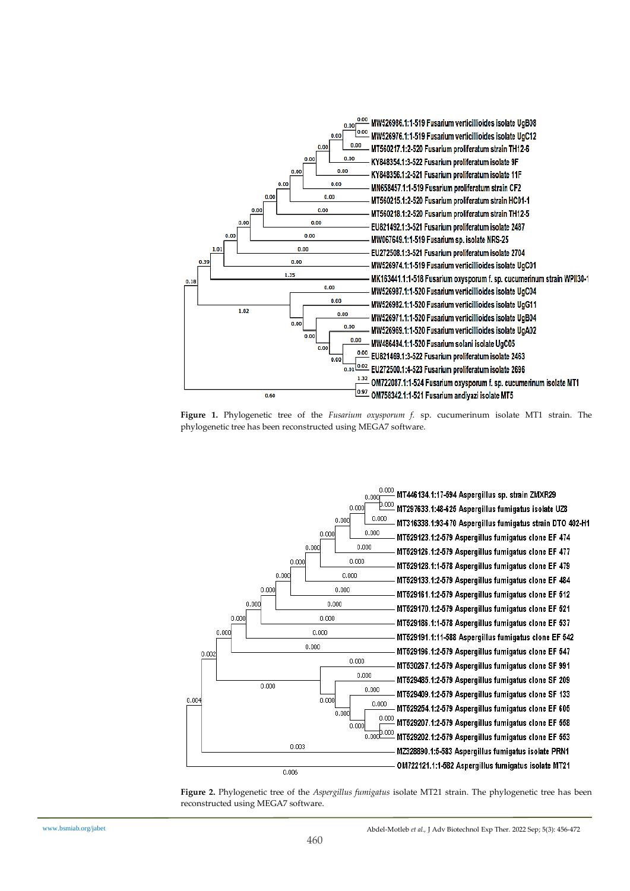

**Figure 1.** Phylogenetic tree of the *Fusarium oxysporum f.* sp. cucumerinum isolate MT1 strain. The phylogenetic tree has been reconstructed using MEGA7 software.



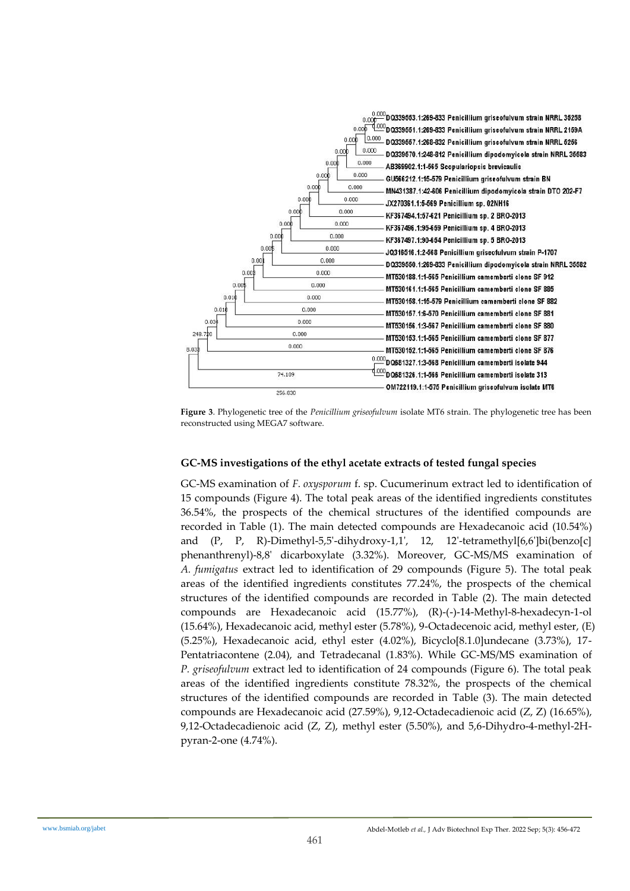

**Figure 3**. Phylogenetic tree of the *Penicillium griseofulvum* isolate MT6 strain. The phylogenetic tree has been reconstructed using MEGA7 software.

## **GC-MS investigations of the ethyl acetate extracts of tested fungal species**

GC-MS examination of *F. oxysporum* f. sp. Cucumerinum extract led to identification of 15 compounds (Figure 4). The total peak areas of the identified ingredients constitutes 36.54%, the prospects of the chemical structures of the identified compounds are recorded in Table (1). The main detected compounds are Hexadecanoic acid (10.54%) and (P, P, R)-Dimethyl-5,5'-dihydroxy-1,1', 12, 12'-tetramethyl[6,6']bi(benzo[c] phenanthrenyl)-8,8' dicarboxylate (3.32%). Moreover, GC-MS/MS examination of *A. fumigatus* extract led to identification of 29 compounds (Figure 5). The total peak areas of the identified ingredients constitutes 77.24%, the prospects of the chemical structures of the identified compounds are recorded in Table (2). The main detected compounds are Hexadecanoic acid (15.77%), (R)-(-)-14-Methyl-8-hexadecyn-1-ol (15.64%), Hexadecanoic acid, methyl ester (5.78%), 9-Octadecenoic acid, methyl ester, (E) (5.25%), Hexadecanoic acid, ethyl ester (4.02%), Bicyclo[8.1.0]undecane (3.73%), 17- Pentatriacontene (2.04), and Tetradecanal (1.83%). While GC-MS/MS examination of *P. griseofulvum* extract led to identification of 24 compounds (Figure 6). The total peak areas of the identified ingredients constitute 78.32%, the prospects of the chemical structures of the identified compounds are recorded in Table (3). The main detected compounds are Hexadecanoic acid (27.59%), 9,12-Octadecadienoic acid (Z, Z) (16.65%), 9,12-Octadecadienoic acid (Z, Z), methyl ester (5.50%), and 5,6-Dihydro-4-methyl-2Hpyran-2-one (4.74%).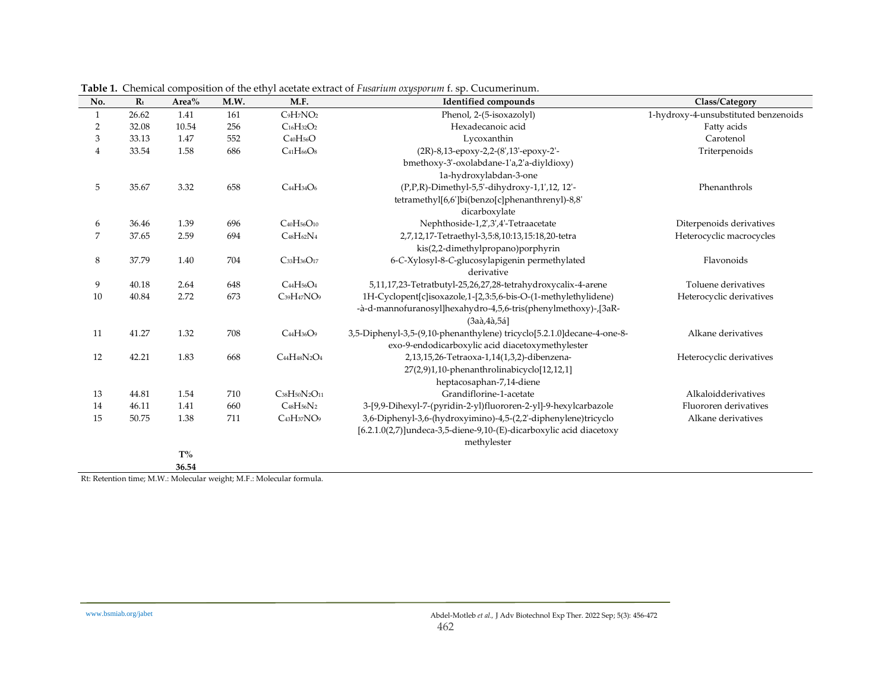| No.            | $R_t$ | Area% | M.W. | M.F.                                            | <b>Identified compounds</b>                                            | Class/Category                       |
|----------------|-------|-------|------|-------------------------------------------------|------------------------------------------------------------------------|--------------------------------------|
| $\mathbf{1}$   | 26.62 | 1.41  | 161  | $C_9H_7NO_2$                                    | Phenol, 2-(5-isoxazolyl)                                               | 1-hydroxy-4-unsubstituted benzenoids |
| $\overline{2}$ | 32.08 | 10.54 | 256  | $C_{16}H_{32}O_2$                               | Hexadecanoic acid                                                      | Fatty acids                          |
| 3              | 33.13 | 1.47  | 552  | $C_{40}H_{56}O$                                 | Lycoxanthin                                                            | Carotenol                            |
| $\overline{4}$ | 33.54 | 1.58  | 686  | $C_{41}H_{66}O_8$                               | (2R)-8,13-epoxy-2,2-(8',13'-epoxy-2'-                                  | Triterpenoids                        |
|                |       |       |      |                                                 | bmethoxy-3'-oxolabdane-1'a,2'a-diyldioxy)                              |                                      |
|                |       |       |      |                                                 | 1a-hydroxylabdan-3-one                                                 |                                      |
| 5              | 35.67 | 3.32  | 658  | C <sub>44</sub> H <sub>34</sub> O <sub>6</sub>  | (P,P,R)-Dimethyl-5,5'-dihydroxy-1,1',12, 12'-                          | Phenanthrols                         |
|                |       |       |      |                                                 | tetramethyl[6,6']bi(benzo[c]phenanthrenyl)-8,8'                        |                                      |
|                |       |       |      |                                                 | dicarboxylate                                                          |                                      |
| 6              | 36.46 | 1.39  | 696  | C <sub>40</sub> H <sub>56</sub> O <sub>10</sub> | Nephthoside-1,2',3',4'-Tetraacetate                                    | Diterpenoids derivatives             |
| $\overline{7}$ | 37.65 | 2.59  | 694  | $C_{48}H_{62}N_4$                               | 2,7,12,17-Tetraethyl-3,5:8,10:13,15:18,20-tetra                        | Heterocyclic macrocycles             |
|                |       |       |      |                                                 | kis(2,2-dimethylpropano)porphyrin                                      |                                      |
| $\,8\,$        | 37.79 | 1.40  | 704  | C33H36O17                                       | 6-C-Xylosyl-8-C-glucosylapigenin permethylated                         | Flavonoids                           |
|                |       |       |      |                                                 | derivative                                                             |                                      |
| 9              | 40.18 | 2.64  | 648  | $C_{44}H_{56}O_4$                               | 5,11,17,23-Tetratbutyl-25,26,27,28-tetrahydroxycalix-4-arene           | Toluene derivatives                  |
| 10             | 40.84 | 2.72  | 673  | C <sub>39</sub> H <sub>47</sub> NO <sub>9</sub> | 1H-Cyclopent[c]isoxazole,1-[2,3:5,6-bis-O-(1-methylethylidene)         | Heterocyclic derivatives             |
|                |       |       |      |                                                 | -à-d-mannofuranosyl]hexahydro-4,5,6-tris(phenylmethoxy)-,[3aR-         |                                      |
|                |       |       |      |                                                 | $(3a\grave{a}, 4\grave{a}, 5\acute{a})$                                |                                      |
| 11             | 41.27 | 1.32  | 708  | C <sub>44</sub> H <sub>36</sub> O <sub>9</sub>  | 3,5-Diphenyl-3,5-(9,10-phenanthylene) tricyclo[5.2.1.0]decane-4-one-8- | Alkane derivatives                   |
|                |       |       |      |                                                 | exo-9-endodicarboxylic acid diacetoxymethylester                       |                                      |
| 12             | 42.21 | 1.83  | 668  | $C_{44}H_{48}N_2O_4$                            | 2,13,15,26-Tetraoxa-1,14(1,3,2)-dibenzena-                             | Heterocyclic derivatives             |
|                |       |       |      |                                                 | 27(2,9)1,10-phenanthrolinabicyclo[12,12,1]                             |                                      |
|                |       |       |      |                                                 | heptacosaphan-7,14-diene                                               |                                      |
| 13             | 44.81 | 1.54  | 710  | C38H50N2O11                                     | Grandiflorine-1-acetate                                                | Alkaloidderivatives                  |
| 14             | 46.11 | 1.41  | 660  | $C_{48}H_{56}N_2$                               | 3-[9,9-Dihexyl-7-(pyridin-2-yl)fluororen-2-yl]-9-hexylcarbazole        | Fluororen derivatives                |
| 15             | 50.75 | 1.38  | 711  | C <sub>43</sub> H <sub>37</sub> NO <sub>9</sub> | 3,6-Diphenyl-3,6-(hydroxyimino)-4,5-(2,2'-diphenylene)tricyclo         | Alkane derivatives                   |
|                |       |       |      |                                                 | [6.2.1.0(2,7)]undeca-3,5-diene-9,10-(E)-dicarboxylic acid diacetoxy    |                                      |
|                |       |       |      |                                                 | methylester                                                            |                                      |
|                |       | $T\%$ |      |                                                 |                                                                        |                                      |
|                |       | 36.54 |      |                                                 |                                                                        |                                      |

**Table 1.** Chemical composition of the ethyl acetate extract of *Fusarium oxysporum* f. sp. Cucumerinum.

Rt: Retention time; M.W.: Molecular weight; M.F.: Molecular formula.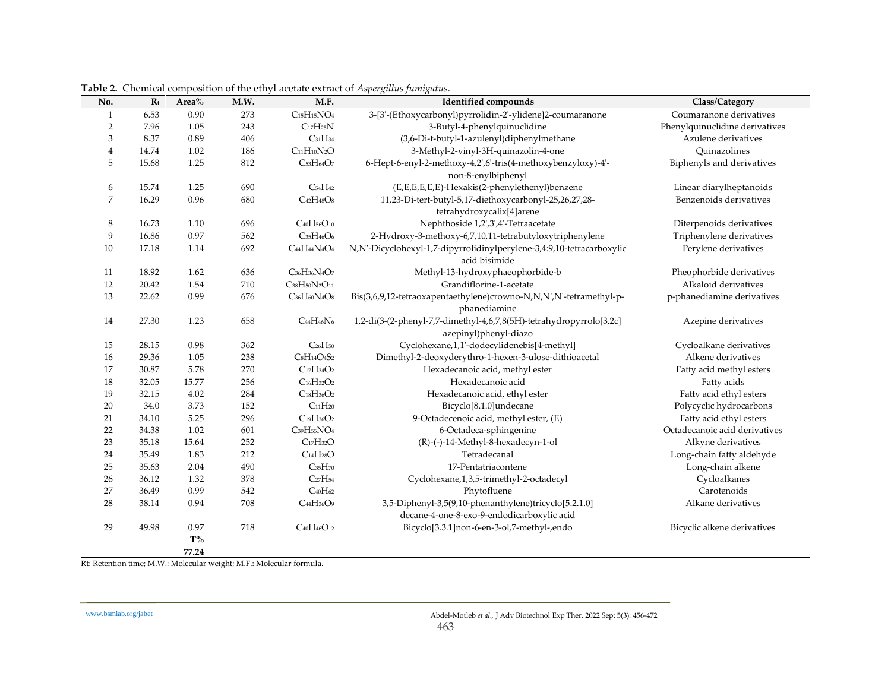| No.    | $R_t$ | Area% | M.W. | M.F.                                                          | <b>Identified compounds</b>                                                                  | Class/Category                                    |  |
|--------|-------|-------|------|---------------------------------------------------------------|----------------------------------------------------------------------------------------------|---------------------------------------------------|--|
| 1      | 6.53  | 0.90  | 273  | $C_{15}H_{15}NO_4$                                            | 3-[3'-(Ethoxycarbonyl)pyrrolidin-2'-ylidene]2-coumaranone                                    | Coumaranone derivatives                           |  |
| 2      | 7.96  | 1.05  | 243  | $C_{17}H_{25}N$                                               | 3-Butyl-4-phenylquinuclidine                                                                 | Phenylquinuclidine derivatives                    |  |
| 3      | 8.37  | 0.89  | 406  | $C_{31}H_{34}$                                                | (3,6-Di-t-butyl-1-azulenyl)diphenylmethane                                                   | Azulene derivatives                               |  |
| 4      | 14.74 | 1.02  | 186  | $C11H10N2O$                                                   | 3-Methyl-2-vinyl-3H-quinazolin-4-one                                                         | Ouinazolines                                      |  |
| 5      | 15.68 | 1.25  | 812  | C53H64O7                                                      | 6-Hept-6-enyl-2-methoxy-4,2',6'-tris(4-methoxybenzyloxy)-4'-<br>non-8-enylbiphenyl           | Biphenyls and derivatives                         |  |
|        | 15.74 | 1.25  | 690  | $C_{54}H_{42}$                                                | (E,E,E,E,E)-Hexakis(2-phenylethenyl)benzene                                                  |                                                   |  |
| 6<br>7 | 16.29 | 0.96  | 680  | $C_{42}H_{48}O_8$                                             | 11,23-Di-tert-butyl-5,17-diethoxycarbonyl-25,26,27,28-                                       | Linear diarylheptanoids<br>Benzenoids derivatives |  |
|        |       |       |      |                                                               | tetrahydroxycalix[4]arene                                                                    |                                                   |  |
| 8      | 16.73 | 1.10  | 696  | C <sub>40</sub> H <sub>56</sub> O <sub>10</sub>               | Nephthoside 1,2',3',4'-Tetraacetate                                                          | Diterpenoids derivatives                          |  |
| 9      | 16.86 | 0.97  | 562  | $C_{35}H_{46}O_6$                                             | 2-Hydroxy-3-methoxy-6,7,10,11-tetrabutyloxytriphenylene                                      | Triphenylene derivatives                          |  |
| 10     | 17.18 | 1.14  | 692  | $C_{44}H_{44}N_{4}O_4$                                        | N,N'-Dicyclohexyl-1,7-dipyrrolidinylperylene-3,4:9,10-tetracarboxylic<br>acid bisimide       | Perylene derivatives                              |  |
| 11     | 18.92 | 1.62  | 636  | C <sub>36</sub> H <sub>36</sub> N <sub>4</sub> O <sub>7</sub> | Methyl-13-hydroxyphaeophorbide-b                                                             | Pheophorbide derivatives                          |  |
| 12     | 20.42 | 1.54  | 710  | C38H50N2O11                                                   | Grandiflorine-1-acetate                                                                      | Alkaloid derivatives                              |  |
| 13     | 22.62 | 0.99  | 676  | $C_{36}H_{60}N_{4}O_{8}$                                      | Bis(3,6,9,12-tetraoxapentaethylene)crowno-N,N,N',N'-tetramethyl-p-<br>phanediamine           | p-phanediamine derivatives                        |  |
| 14     | 27.30 | 1.23  | 658  | $C_{44}H_{46}N_{6}$                                           | 1,2-di(3-(2-phenyl-7,7-dimethyl-4,6,7,8(5H)-tetrahydropyrrolo[3,2c]<br>azepinyl)phenyl-diazo | Azepine derivatives                               |  |
| 15     | 28.15 | 0.98  | 362  | $C_{26}H_{50}$                                                | Cyclohexane,1,1'-dodecylidenebis[4-methyl]                                                   | Cycloalkane derivatives                           |  |
| 16     | 29.36 | 1.05  | 238  | $CsH14O4S2$                                                   | Dimethyl-2-deoxyderythro-1-hexen-3-ulose-dithioacetal                                        | Alkene derivatives                                |  |
| 17     | 30.87 | 5.78  | 270  | $C_{17}H_{34}O_2$                                             | Hexadecanoic acid, methyl ester                                                              | Fatty acid methyl esters                          |  |
| 18     | 32.05 | 15.77 | 256  | $C_{16}H_{32}O_2$                                             | Hexadecanoic acid                                                                            | Fatty acids                                       |  |
| 19     | 32.15 | 4.02  | 284  | $C_{18}H_{36}O_2$                                             | Hexadecanoic acid, ethyl ester                                                               | Fatty acid ethyl esters                           |  |
| 20     | 34.0  | 3.73  | 152  | $C_{11}H_{20}$                                                | Bicyclo[8.1.0]undecane                                                                       | Polycyclic hydrocarbons                           |  |
| 21     | 34.10 | 5.25  | 296  | $C_{19}H_{36}O_2$                                             | 9-Octadecenoic acid, methyl ester, (E)                                                       | Fatty acid ethyl esters                           |  |
| 22     | 34.38 | 1.02  | 601  | C <sub>39</sub> H <sub>55</sub> NO <sub>4</sub>               | 6-Octadeca-sphingenine                                                                       | Octadecanoic acid derivatives                     |  |
| 23     | 35.18 | 15.64 | 252  | $C_{17}H_{32}O$                                               | (R)-(-)-14-Methyl-8-hexadecyn-1-ol                                                           | Alkyne derivatives                                |  |
| 24     | 35.49 | 1.83  | 212  | C <sub>14</sub> H <sub>28</sub> O                             | Tetradecanal                                                                                 | Long-chain fatty aldehyde                         |  |
| 25     | 35.63 | 2.04  | 490  | $C_{35}H_{70}$                                                | 17-Pentatriacontene                                                                          | Long-chain alkene                                 |  |
| 26     | 36.12 | 1.32  | 378  | C <sub>27</sub> H <sub>54</sub>                               | Cyclohexane, 1, 3, 5-trimethyl-2-octadecyl                                                   | Cycloalkanes                                      |  |
| 27     | 36.49 | 0.99  | 542  | $C_{40}H_{62}$                                                | Phytofluene                                                                                  | Carotenoids                                       |  |
| 28     | 38.14 | 0.94  | 708  | C <sub>44</sub> H <sub>36</sub> O <sub>9</sub>                | 3,5-Diphenyl-3,5(9,10-phenanthylene)tricyclo[5.2.1.0]                                        | Alkane derivatives                                |  |
|        |       |       |      |                                                               | decane-4-one-8-exo-9-endodicarboxylic acid                                                   |                                                   |  |
| 29     | 49.98 | 0.97  | 718  | C <sub>40</sub> H <sub>46</sub> O <sub>12</sub>               | Bicyclo[3.3.1]non-6-en-3-ol,7-methyl-,endo                                                   | Bicyclic alkene derivatives                       |  |
|        |       | $T\%$ |      |                                                               |                                                                                              |                                                   |  |
|        |       | 77.24 |      |                                                               |                                                                                              |                                                   |  |

**Table 2.** Chemical composition of the ethyl acetate extract of *Aspergillus fumigatus.*

Rt: Retention time; M.W.: Molecular weight; M.F.: Molecular formula.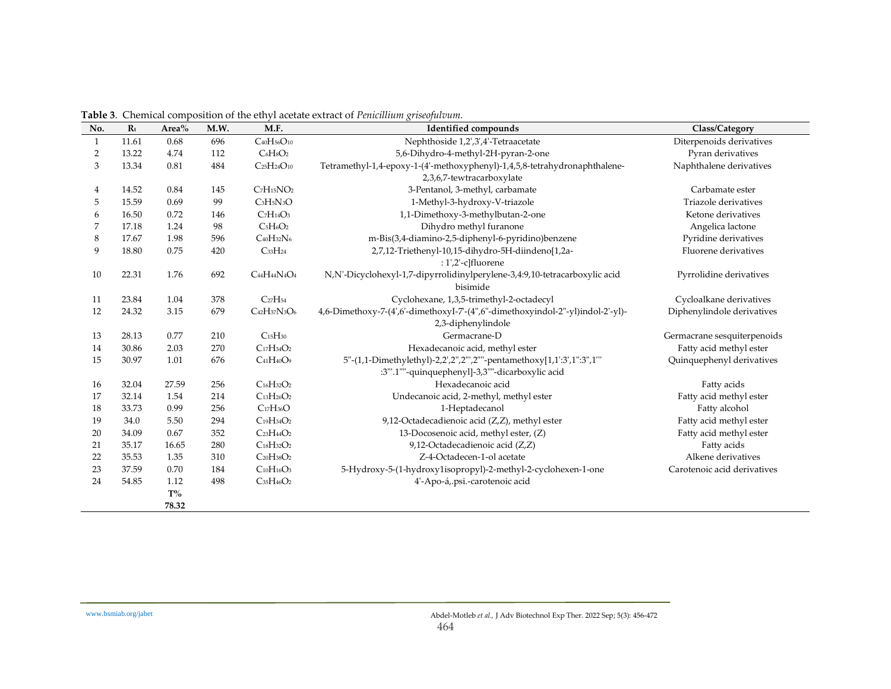| $\mathbf{1}$<br>$\overline{2}$<br>3<br>4 | 11.61<br>13.22<br>13.34<br>14.52<br>15.59 | 0.68<br>4.74<br>0.81<br>0.84 | 696<br>112<br>484 | C <sub>40</sub> H <sub>56</sub> O <sub>10</sub><br>$C_6H_8O_2$<br>$C_{25}H_{24}O_{10}$ | Nephthoside 1,2',3',4'-Tetraacetate<br>5,6-Dihydro-4-methyl-2H-pyran-2-one                           | Diterpenoids derivatives<br>Pyran derivatives |
|------------------------------------------|-------------------------------------------|------------------------------|-------------------|----------------------------------------------------------------------------------------|------------------------------------------------------------------------------------------------------|-----------------------------------------------|
|                                          |                                           |                              |                   |                                                                                        |                                                                                                      |                                               |
|                                          |                                           |                              |                   |                                                                                        |                                                                                                      |                                               |
|                                          |                                           |                              |                   |                                                                                        | Tetramethyl-1,4-epoxy-1-(4'-methoxyphenyl)-1,4,5,8-tetrahydronaphthalene-                            | Naphthalene derivatives                       |
|                                          |                                           |                              |                   |                                                                                        | 2,3,6,7-tewtracarboxylate                                                                            |                                               |
|                                          |                                           |                              | 145               | $C7H15NO2$                                                                             | 3-Pentanol, 3-methyl, carbamate                                                                      | Carbamate ester                               |
| 5                                        |                                           | 0.69                         | 99                | $C3H5N3O$                                                                              | 1-Methyl-3-hydroxy-V-triazole                                                                        | Triazole derivatives                          |
| 6                                        | 16.50                                     | 0.72                         | 146               | $C7H14O3$                                                                              | 1,1-Dimethoxy-3-methylbutan-2-one                                                                    | Ketone derivatives                            |
| $\overline{7}$                           | 17.18                                     | 1.24                         | 98                | $C5H6O2$                                                                               | Dihydro methyl furanone                                                                              | Angelica lactone                              |
| 8                                        | 17.67                                     | 1.98                         | 596               | $CaoH_{32}N6$                                                                          | m-Bis(3,4-diamino-2,5-diphenyl-6-pyridino)benzene                                                    | Pyridine derivatives                          |
| 9                                        | 18.80                                     | 0.75                         | 420               | $C_{33}H_{24}$                                                                         | 2,7,12-Triethenyl-10,15-dihydro-5H-diindeno[1,2a-<br>: 1',2'-c]fluorene                              | Fluorene derivatives                          |
| 10                                       | 22.31                                     | 1.76                         | 692               | $C_{44}H_{44}N_{4}O_4$                                                                 | N,N'-Dicyclohexyl-1,7-dipyrrolidinylperylene-3,4:9,10-tetracarboxylic acid<br>bisimide               | Pyrrolidine derivatives                       |
| 11                                       | 23.84                                     | 1.04                         | 378               | C <sub>27</sub> H <sub>54</sub>                                                        | Cyclohexane, 1,3,5-trimethyl-2-octadecyl                                                             | Cycloalkane derivatives                       |
| 12                                       | 24.32                                     | 3.15                         | 679               | $C_{42}H_{37}N_{3}O_{6}$                                                               | 4,6-Dimethoxy-7-(4',6'-dimethoxyI-7'-(4",6"-dimethoxyindol-2"-yl)indol-2'-yl)-<br>2,3-diphenylindole | Diphenylindole derivatives                    |
| 13                                       | 28.13                                     | 0.77                         | 210               | C <sub>15</sub> H <sub>30</sub>                                                        | Germacrane-D                                                                                         | Germacrane sesquiterpenoids                   |
| 14                                       | 30.86                                     | 2.03                         | 270               | $C_{17}H_{34}O_2$                                                                      | Hexadecanoic acid, methyl ester                                                                      | Fatty acid methyl ester                       |
| 15                                       | 30.97                                     | 1.01                         | 676               | $C_{41}H_{40}O_{9}$                                                                    | 5"-(1,1-Dimethylethyl)-2,2',2",2""-pentamethoxy[1,1':3',1":3",1"                                     | Quinquephenyl derivatives                     |
|                                          | 32.04                                     | 27.59                        | 256               | $C_{16}H_{32}O_2$                                                                      | :3"'.1""-quinquephenyl]-3,3""-dicarboxylic acid<br>Hexadecanoic acid                                 |                                               |
| 16<br>17                                 | 32.14                                     | 1.54                         | 214               | $C_{13}H_{26}O_2$                                                                      |                                                                                                      | Fatty acids<br>Fatty acid methyl ester        |
| 18                                       | 33.73                                     | 0.99                         | 256               | $C_{17}H_{36}O$                                                                        | Undecanoic acid, 2-methyl, methyl ester<br>1-Heptadecanol                                            | Fatty alcohol                                 |
| 19                                       | 34.0                                      | 5.50                         | 294               | $C_{19}H_{34}O_2$                                                                      |                                                                                                      |                                               |
| 20                                       | 34.09                                     | 0.67                         | 352               | $C_{23}H_{44}O_2$                                                                      | 9,12-Octadecadienoic acid (Z,Z), methyl ester                                                        | Fatty acid methyl ester                       |
| 21                                       | 35.17                                     | 16.65                        | 280               | $C_{18}H_{32}O_2$                                                                      | 13-Docosenoic acid, methyl ester, (Z)<br>9,12-Octadecadienoic acid (Z,Z)                             | Fatty acid methyl ester<br>Fatty acids        |
| 22                                       | 35.53                                     | 1.35                         | 310               | $C_{20}H_{38}O_2$                                                                      | Z-4-Octadecen-1-ol acetate                                                                           | Alkene derivatives                            |
| 23                                       | 37.59                                     | 0.70                         | 184               | $C_{10}H_{16}O_3$                                                                      | 5-Hydroxy-5-(1-hydroxy1isopropyl)-2-methyl-2-cyclohexen-1-one                                        | Carotenoic acid derivatives                   |
| 24                                       | 54.85                                     | 1.12                         | 498               | $C_{35}H_{46}O_2$                                                                      | 4'-Apo-á, psi.-carotenoic acid                                                                       |                                               |
|                                          |                                           | $T\%$                        |                   |                                                                                        |                                                                                                      |                                               |
|                                          |                                           | 78.32                        |                   |                                                                                        |                                                                                                      |                                               |

**Table 3**. Chemical composition of the ethyl acetate extract of *Penicillium griseofulvum.*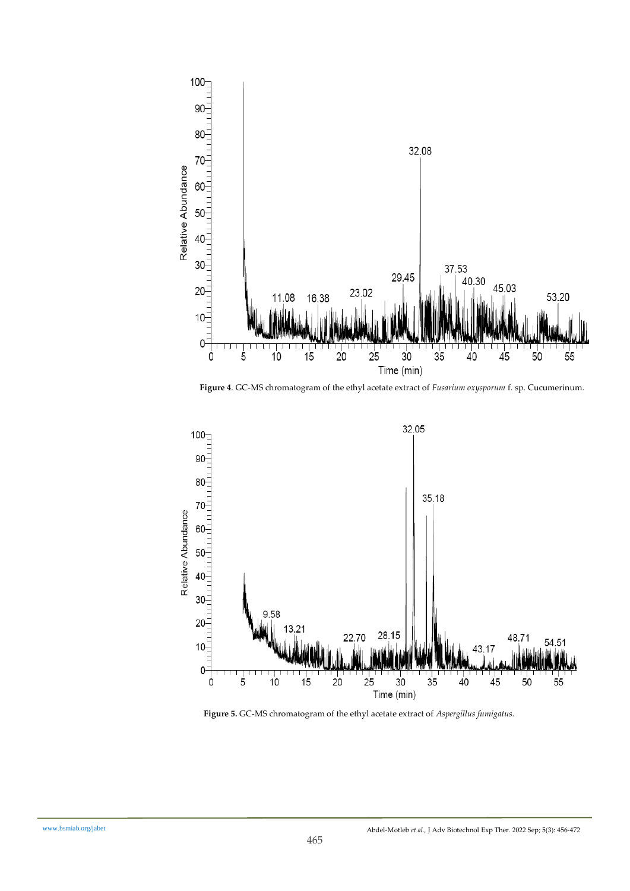

 **Figure 4**. GC-MS chromatogram of the ethyl acetate extract of *Fusarium oxysporum* f. sp. Cucumerinum.



 **Figure 5.** GC-MS chromatogram of the ethyl acetate extract of *Aspergillus fumigatus.*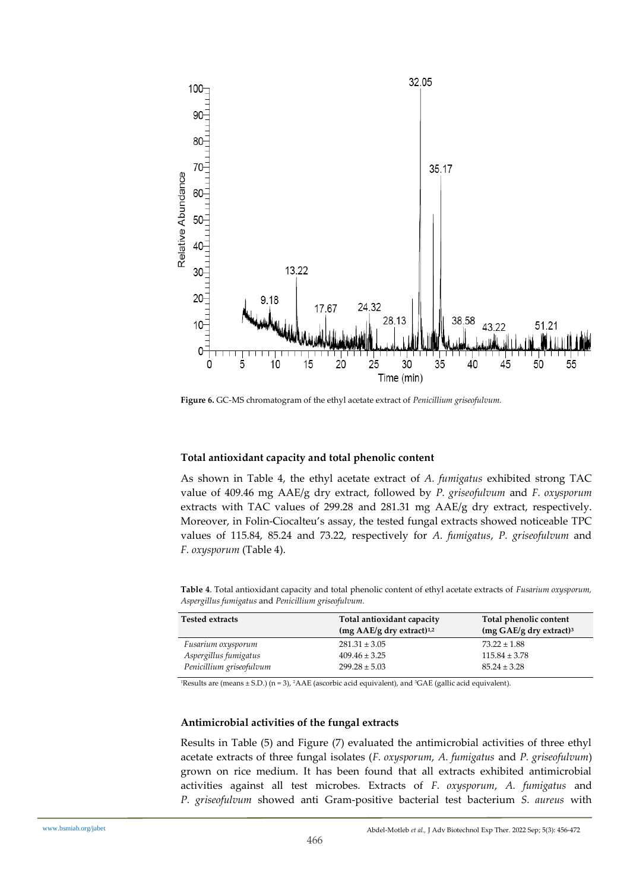

 **Figure 6.** GC-MS chromatogram of the ethyl acetate extract of *Penicillium griseofulvum.*

## **Total antioxidant capacity and total phenolic content**

As shown in Table 4, the ethyl acetate extract of *A. fumigatus* exhibited strong TAC value of 409.46 mg AAE/g dry extract, followed by *P. griseofulvum* and *F. oxysporum* extracts with TAC values of 299.28 and 281.31 mg AAE/g dry extract, respectively. Moreover, in Folin-Ciocalteu's assay, the tested fungal extracts showed noticeable TPC values of 115.84, 85.24 and 73.22, respectively for *A. fumigatus*, *P. griseofulvum* and *F. oxysporum* (Table 4).

**Table 4**. Total antioxidant capacity and total phenolic content of ethyl acetate extracts of *Fusarium oxysporum, Aspergillus fumigatus* and *Penicillium griseofulvum.*

| <b>Tested extracts</b>   | Total antioxidant capacity              | Total phenolic content                     |
|--------------------------|-----------------------------------------|--------------------------------------------|
|                          | $(mg AAE/g$ dry extract) <sup>1,2</sup> | $(mg \text{ GAE/g} \text{ dry extract})^3$ |
| Fusarium oxysporum       | $281.31 \pm 3.05$                       | $73.22 \pm 1.88$                           |
| Aspergillus fumigatus    | $409.46 \pm 3.25$                       | $115.84 \pm 3.78$                          |
| Penicillium griseofulvum | $299.28 \pm 5.03$                       | $85.24 \pm 3.28$                           |

 $\text{1Results}$  are (means  $\pm$  S.D.) (n = 3),  $\text{2AAE}$  (ascorbic acid equivalent), and  $\text{3GAE}$  (gallic acid equivalent).

## **Antimicrobial activities of the fungal extracts**

Results in Table (5) and Figure (7) evaluated the antimicrobial activities of three ethyl acetate extracts of three fungal isolates (*F. oxysporum*, *A. fumigatus* and *P. griseofulvum*) grown on rice medium. It has been found that all extracts exhibited antimicrobial activities against all test microbes. Extracts of *F. oxysporum*, *A. fumigatus* and *P. griseofulvum* showed anti Gram-positive bacterial test bacterium *S. aureus* with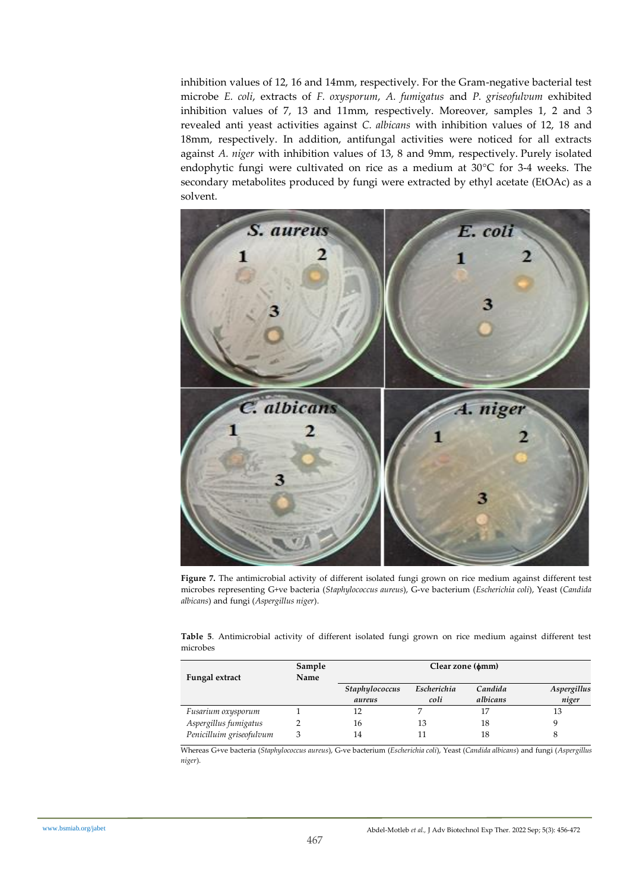inhibition values of 12, 16 and 14mm, respectively. For the Gram-negative bacterial test microbe *E. coli*, extracts of *F. oxysporum*, *A. fumigatus* and *P. griseofulvum* exhibited inhibition values of 7, 13 and 11mm, respectively. Moreover, samples 1, 2 and 3 revealed anti yeast activities against *C. albicans* with inhibition values of 12, 18 and 18mm, respectively. In addition, antifungal activities were noticed for all extracts against *A. niger* with inhibition values of 13, 8 and 9mm, respectively. Purely isolated endophytic fungi were cultivated on rice as a medium at 30°C for 3-4 weeks. The secondary metabolites produced by fungi were extracted by ethyl acetate (EtOAc) as a solvent.



**Figure 7.** The antimicrobial activity of different isolated fungi grown on rice medium against different test microbes representing G+ve bacteria (*Staphylococcus aureus*), G-ve bacterium (*Escherichia coli*), Yeast (*Candida albicans*) and fungi (*Aspergillus niger*).

**Table 5**. Antimicrobial activity of different isolated fungi grown on rice medium against different test microbes

|                          | Sample | Clear zone ( $\phi$ mm) |             |          |             |
|--------------------------|--------|-------------------------|-------------|----------|-------------|
| Fungal extract           | Name   |                         |             |          |             |
|                          |        | Staphylococcus          | Escherichia | Candida  | Aspergillus |
|                          |        | aureus                  | coli        | albicans | niger       |
| Fusarium oxysporum       |        | 12                      |             |          | 13          |
| Aspergillus fumigatus    |        | 16                      | 13          | 18       |             |
| Penicilluim griseofulvum |        | 14                      |             | 18       |             |

Whereas G+ve bacteria (*Staphylococcus aureus*), G-ve bacterium (*Escherichia coli*), Yeast (*Candida albicans*) and fungi (*Aspergillus niger*).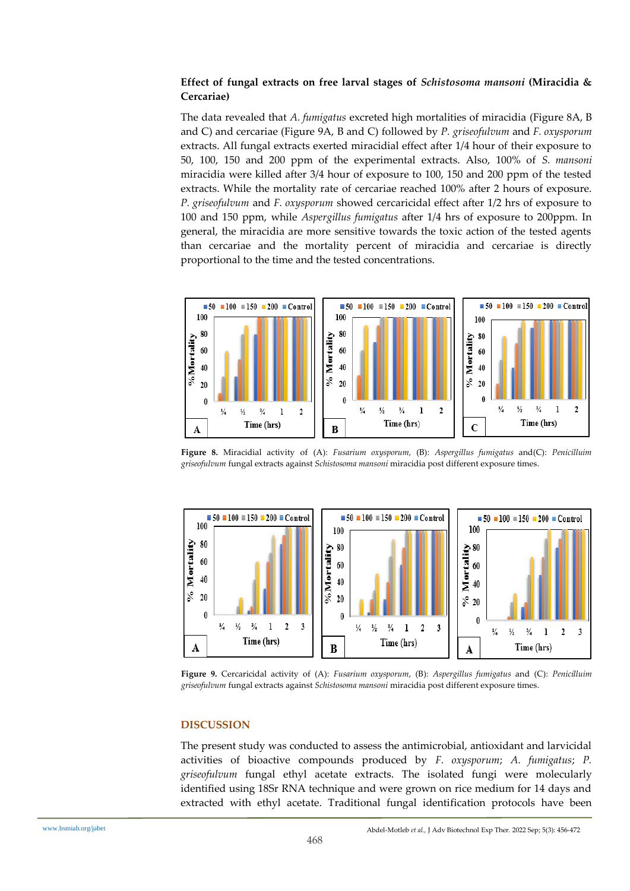## **Effect of fungal extracts on free larval stages of** *Schistosoma mansoni* **(Miracidia & Cercariae)**

The data revealed that *A. fumigatus* excreted high mortalities of miracidia (Figure 8A, B and C) and cercariae (Figure 9A, B and C) followed by *P. griseofulvum* and *F. oxysporum* extracts. All fungal extracts exerted miracidial effect after 1/4 hour of their exposure to 50, 100, 150 and 200 ppm of the experimental extracts. Also, 100% of *S. mansoni* miracidia were killed after 3/4 hour of exposure to 100, 150 and 200 ppm of the tested extracts. While the mortality rate of cercariae reached 100% after 2 hours of exposure. *P. griseofulvum* and *F. oxysporum* showed cercaricidal effect after 1/2 hrs of exposure to 100 and 150 ppm, while *Aspergillus fumigatus* after 1/4 hrs of exposure to 200ppm. In general, the miracidia are more sensitive towards the toxic action of the tested agents than cercariae and the mortality percent of miracidia and cercariae is directly proportional to the time and the tested concentrations.



**Figure 8.** Miracidial activity of (A): *Fusarium oxysporum,* (B): *Aspergillus fumigatus* and(C): *Penicilluim griseofulvum* fungal extracts against *Schistosoma mansoni* miracidia post different exposure times.



**Figure 9.** Cercaricidal activity of (A): *Fusarium oxysporum*, (B): *Aspergillus fumigatus* and (C): *Penicilluim griseofulvum* fungal extracts against *Schistosoma mansoni* miracidia post different exposure times.

## **DISCUSSION**

The present study was conducted to assess the antimicrobial, antioxidant and larvicidal activities of bioactive compounds produced by *F. oxysporum*; *A. fumigatus*; *P. griseofulvum* fungal ethyl acetate extracts. The isolated fungi were molecularly identified using 18Sr RNA technique and were grown on rice medium for 14 days and extracted with ethyl acetate. Traditional fungal identification protocols have been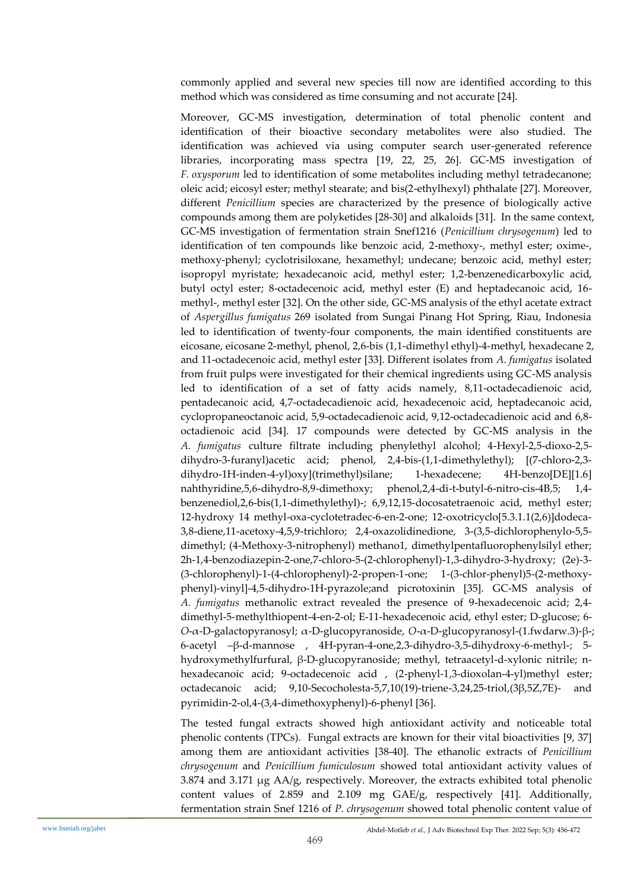commonly applied and several new species till now are identified according to this method which was considered as time consuming and not accurate [24].

Moreover, GC-MS investigation, determination of total phenolic content and identification of their bioactive secondary metabolites were also studied. The identification was achieved via using computer search user-generated reference libraries, incorporating mass spectra [19, 22, 25, 26]. GC-MS investigation of *F. oxysporum* led to identification of some metabolites including methyl tetradecanone; oleic acid; eicosyl ester; methyl stearate; and bis(2-ethylhexyl) phthalate [27]. Moreover, different *Penicillium* species are characterized by the presence of biologically active compounds among them are polyketides [28-30] and alkaloids [31]. In the same context, GC-MS investigation of fermentation strain Snef1216 (*Penicillium chrysogenum*) led to identification of ten compounds like benzoic acid, 2-methoxy-, methyl ester; oxime-, methoxy-phenyl; cyclotrisiloxane, hexamethyl; undecane; benzoic acid, methyl ester; isopropyl myristate; hexadecanoic acid, methyl ester; 1,2-benzenedicarboxylic acid, butyl octyl ester; 8-octadecenoic acid, methyl ester (E) and heptadecanoic acid, 16 methyl-, methyl ester [32]. On the other side, GC-MS analysis of the ethyl acetate extract of *Aspergillus fumigatus* 269 isolated from Sungai Pinang Hot Spring, Riau, Indonesia led to identification of twenty-four components, the main identified constituents are eicosane, eicosane 2-methyl, phenol, 2,6-bis (1,1-dimethyl ethyl)-4-methyl, hexadecane 2, and 11-octadecenoic acid, methyl ester [33]. Different isolates from *A. fumigatus* isolated from fruit pulps were investigated for their chemical ingredients using GC-MS analysis led to identification of a set of fatty acids namely, 8,11-octadecadienoic acid, pentadecanoic acid, 4,7-octadecadienoic acid, hexadecenoic acid, heptadecanoic acid, cyclopropaneoctanoic acid, 5,9-octadecadienoic acid, 9,12-octadecadienoic acid and 6,8 octadienoic acid [34]. 17 compounds were detected by GC-MS analysis in the *A. fumigatus* culture filtrate including phenylethyl alcohol; 4-Hexyl-2,5-dioxo-2,5 dihydro-3-furanyl)acetic acid; phenol, 2,4-bis-(1,1-dimethylethyl); [(7-chloro-2,3 dihydro-1H-inden-4-yl)oxy](trimethyl)silane; 1-hexadecene; 4H-benzo[DE][1.6] nahthyridine,5,6-dihydro-8,9-dimethoxy; phenol,2,4-di-t-butyl-6-nitro-cis-4B,5; 1,4 benzenediol,2,6-bis(1,1-dimethylethyl)-; 6,9,12,15-docosatetraenoic acid, methyl ester; 12-hydroxy 14 methyl-oxa-cyclotetradec-6-en-2-one; 12-oxotricyclo[5.3.1.1(2,6)]dodeca-3,8-diene,11-acetoxy-4,5,9-trichloro; 2,4-oxazolidinedione, 3-(3,5-dichlorophenylo-5,5 dimethyl; (4-Methoxy-3-nitrophenyl) methano1, dimethylpentafluorophenylsilyl ether; 2h-1,4-benzodiazepin-2-one,7-chloro-5-(2-chlorophenyl)-1,3-dihydro-3-hydroxy; (2e)-3- (3-chlorophenyl)-1-(4-chlorophenyl)-2-propen-1-one; 1-(3-chlor-phenyl)5-(2-methoxyphenyl)-vinyl]-4,5-dihydro-1H-pyrazole;and picrotoxinin [35]. GC-MS analysis of *A. fumigatus* methanolic extract revealed the presence of 9-hexadecenoic acid; 2,4 dimethyl-5-methylthiopent-4-en-2-ol; E-11-hexadecenoic acid, ethyl ester; D-glucose; 6- *O*-α-D-galactopyranosyl; α-D-glucopyranoside, *O*-α-D-glucopyranosyl-(1.fwdarw.3)-β-; 6-acetyl –β-d-mannose , 4H-pyran-4-one,2,3-dihydro-3,5-dihydroxy-6-methyl-; 5 hydroxymethylfurfural, β-D-glucopyranoside; methyl, tetraacetyl-d-xylonic nitrile; nhexadecanoic acid; 9-octadecenoic acid , (2-phenyl-1,3-dioxolan-4-yl)methyl ester; octadecanoic acid; 9,10-Secocholesta-5,7,10(19)-triene-3,24,25-triol,(3β,5Z,7E)- and pyrimidin-2-ol,4-(3,4-dimethoxyphenyl)-6-phenyl [36].

The tested fungal extracts showed high antioxidant activity and noticeable total phenolic contents (TPCs). Fungal extracts are known for their vital bioactivities [9, 37] among them are antioxidant activities [38-40]. The ethanolic extracts of *Penicillium chrysogenum* and *Penicillium fumiculosum* showed total antioxidant activity values of 3.874 and 3.171  $\mu$ g AA/g, respectively. Moreover, the extracts exhibited total phenolic content values of 2.859 and 2.109 mg GAE/g, respectively [41]. Additionally, fermentation strain Snef 1216 of *P. chrysogenum* showed total phenolic content value of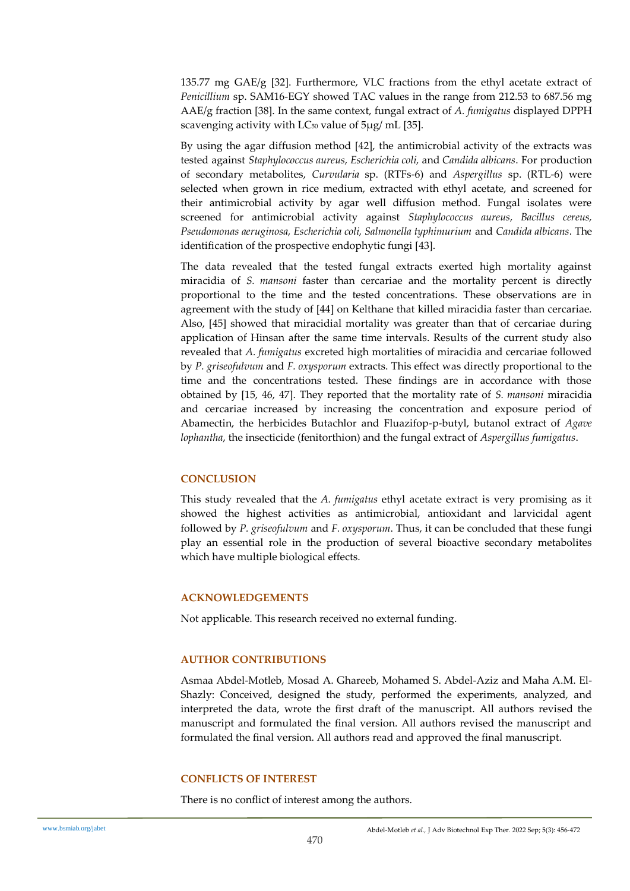135.77 mg GAE/g [32]. Furthermore, VLC fractions from the ethyl acetate extract of *Penicillium* sp. SAM16-EGY showed TAC values in the range from 212.53 to 687.56 mg AAE/g fraction [38]. In the same context, fungal extract of *A. fumigatus* displayed DPPH scavenging activity with  $LC_{50}$  value of  $5\mu$ g/ mL [35].

By using the agar diffusion method [42], the antimicrobial activity of the extracts was tested against *Staphylococcus aureus, Escherichia coli,* and *Candida albicans*. For production of secondary metabolites, *Curvularia* sp. (RTFs-6) and *Aspergillus* sp. (RTL-6) were selected when grown in rice medium, extracted with ethyl acetate, and screened for their antimicrobial activity by agar well diffusion method. Fungal isolates were screened for antimicrobial activity against *Staphylococcus aureus, Bacillus cereus, Pseudomonas aeruginosa, Escherichia coli, Salmonella typhimurium* and *Candida albicans*. The identification of the prospective endophytic fungi [43].

The data revealed that the tested fungal extracts exerted high mortality against miracidia of *S. mansoni* faster than cercariae and the mortality percent is directly proportional to the time and the tested concentrations. These observations are in agreement with the study of [44] on Kelthane that killed miracidia faster than cercariae. Also, [45] showed that miracidial mortality was greater than that of cercariae during application of Hinsan after the same time intervals. Results of the current study also revealed that *A. fumigatus* excreted high mortalities of miracidia and cercariae followed by *P. griseofulvum* and *F. oxysporum* extracts. This effect was directly proportional to the time and the concentrations tested. These findings are in accordance with those obtained by [15, 46, 47]. They reported that the mortality rate of *S. mansoni* miracidia and cercariae increased by increasing the concentration and exposure period of Abamectin, the herbicides Butachlor and Fluazifop-p-butyl, butanol extract of *Agave lophantha*, the insecticide (fenitorthion) and the fungal extract of *Aspergillus fumigatus*.

## **CONCLUSION**

This study revealed that the *A. fumigatus* ethyl acetate extract is very promising as it showed the highest activities as antimicrobial, antioxidant and larvicidal agent followed by *P. griseofulvum* and *F. oxysporum*. Thus, it can be concluded that these fungi play an essential role in the production of several bioactive secondary metabolites which have multiple biological effects.

## **ACKNOWLEDGEMENTS**

Not applicable. This research received no external funding.

## **AUTHOR CONTRIBUTIONS**

Asmaa Abdel-Motleb, Mosad A. Ghareeb, Mohamed S. Abdel-Aziz and Maha A.M. El-Shazly: Conceived, designed the study, performed the experiments, analyzed, and interpreted the data, wrote the first draft of the manuscript. All authors revised the manuscript and formulated the final version. All authors revised the manuscript and formulated the final version. All authors read and approved the final manuscript.

## **CONFLICTS OF INTEREST**

There is no conflict of interest among the authors.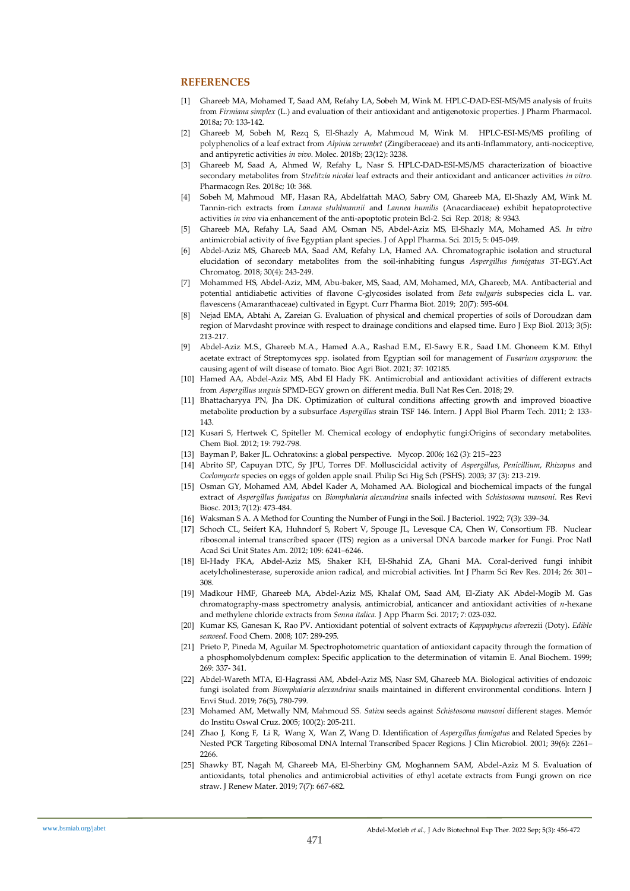#### **REFERENCES**

- [1] Ghareeb MA, Mohamed T, Saad AM, Refahy LA, Sobeh M, Wink M. HPLC-DAD-ESI-MS/MS analysis of fruits from *Firmiana simplex* (L.) and evaluation of their antioxidant and antigenotoxic properties. J Pharm Pharmacol. 2018a; 70: 133-142.
- [2] Ghareeb M, Sobeh M, Rezq S, El-Shazly A, Mahmoud M, Wink M. HPLC-ESI-MS/MS profiling of polyphenolics of a leaf extract from *Alpinia zerumbet* (Zingiberaceae) and its anti-Inflammatory, anti-nociceptive, and antipyretic activities *in vivo*. Molec. 2018b; 23(12): 3238.
- [3] Ghareeb M, Saad A, Ahmed W, Refahy L, Nasr S. HPLC-DAD-ESI-MS/MS characterization of bioactive secondary metabolites from *Strelitzia nicolai* leaf extracts and their antioxidant and anticancer activities *in vitro*. Pharmacogn Res*.* 2018c; 10: 368.
- [4] Sobeh M, Mahmoud MF, Hasan RA, Abdelfattah MAO, Sabry OM, Ghareeb MA, El-Shazly AM, Wink M. Tannin-rich extracts from *Lannea stuhlmannii* and *Lannea humilis* (Anacardiaceae) exhibit hepatoprotective activities *in vivo* via enhancement of the anti-apoptotic protein Bcl-2. Sci Rep. 2018; 8: 9343.
- [5] Ghareeb MA, Refahy LA, Saad AM, Osman NS, Abdel-Aziz MS, El-Shazly MA, Mohamed AS. *In vitro* antimicrobial activity of five Egyptian plant species. J of Appl Pharma. Sci. 2015; 5: 045-049.
- [6] Abdel-Aziz MS, Ghareeb MA, Saad AM, Refahy LA, Hamed AA. Chromatographic isolation and structural elucidation of secondary metabolites from the soil-inhabiting fungus *Aspergillus fumigatus* 3T-EGY*.*Act Chromatog. 2018; 30(4): 243-249.
- [7] Mohammed HS, Abdel-Aziz, MM, Abu-baker, MS, Saad, AM, Mohamed, MA, Ghareeb, MA. Antibacterial and potential antidiabetic activities of flavone *C*-glycosides isolated from *Beta vulgaris* subspecies cicla L. var. flavescens (Amaranthaceae) cultivated in Egypt. Curr Pharma Biot. 2019; 20(7): 595-604.
- [8] Nejad EMA, Abtahi A, Zareian G. Evaluation of physical and chemical properties of soils of Doroudzan dam region of Marvdasht province with respect to drainage conditions and elapsed time. Euro J Exp Biol. 2013; 3(5): 213-217.
- [9] Abdel-Aziz M.S., Ghareeb M.A., Hamed A.A., Rashad E.M., El-Sawy E.R., Saad I.M. Ghoneem K.M. Ethyl acetate extract of Streptomyces spp. isolated from Egyptian soil for management of *Fusarium oxysporum*: the causing agent of wilt disease of tomato. Bioc Agri Biot. 2021; 37: 102185.
- [10] Hamed AA, Abdel-Aziz MS, Abd El Hady FK. Antimicrobial and antioxidant activities of different extracts from *Aspergillus unguis* SPMD-EGY grown on different media. Bull Nat Res Cen. 2018; 29.
- [11] Bhattacharyya PN, Jha DK. Optimization of cultural conditions affecting growth and improved bioactive metabolite production by a subsurface *Aspergillus* strain TSF 146. Intern. J Appl Biol Pharm Tech. 2011; 2: 133- 143.
- [12] Kusari S, Hertwek C, Spiteller M. Chemical ecology of endophytic fungi:Origins of secondary metabolites. Chem Biol. 2012; 19: 792-798.
- [13] Bayman P, Baker JL. Ochratoxins: a global perspective. Mycop. 2006; 162 (3): 215–223
- [14] Abrito SP, Capuyan DTC, Sy JPU, Torres DF. Molluscicidal activity of *Aspergillus*, *Penicillium*, *Rhizopus* and *Coelomycete* species on eggs of golden apple snail. Philip Sci Hig Sch (PSHS). 2003; 37 (3): 213-219.
- [15] Osman GY, Mohamed AM, Abdel Kader A, Mohamed AA. Biological and biochemical impacts of the fungal extract of *Aspergillus fumigatus* on *Biomphalaria alexandrina* snails infected with *Schistosoma mansoni*. Res Revi Biosc. 2013; 7(12): 473-484.
- [16] Waksma[n S A.](https://www.ncbi.nlm.nih.gov/pubmed/?term=Waksman%20SA%5BAuthor%5D&cauthor=true&cauthor_uid=16558961) A Method for Counting the Number of Fungi in the Soil[. J Bacteriol.](https://www.ncbi.nlm.nih.gov/pmc/articles/PMC378974/) 1922; 7(3): 339–34.
- [17] Schoch CL, Seifert KA, Huhndorf S, Robert V, Spouge JL, Levesque CA, Chen W, Consortium FB. Nuclear ribosomal internal transcribed spacer (ITS) region as a universal DNA barcode marker for Fungi. Proc Natl Acad Sci Unit States Am. 2012; 109: 6241–6246.
- [18] El-Hady FKA, Abdel-Aziz MS, Shaker KH, El-Shahid ZA, Ghani MA. Coral-derived fungi inhibit acetylcholinesterase, superoxide anion radical, and microbial activities. Int J Pharm Sci Rev Res. 2014; 26: 301– 308.
- [19] Madkour HMF, Ghareeb MA, Abdel-Aziz MS, Khalaf OM, Saad AM, El-Ziaty AK Abdel-Mogib M. Gas chromatography-mass spectrometry analysis, antimicrobial, anticancer and antioxidant activities of *n*-hexane and methylene chloride extracts from *Senna italica.* J App Pharm Sci*.* 2017; 7: 023-032.
- [20] Kumar KS, Ganesan K, Rao PV. Antioxidant potential of solvent extracts of *Kappaphycus alve*rezii (Doty). *Edible seaweed*. Food Chem. 2008; 107: 289-295.
- [21] Prieto P, Pineda M, Aguilar M. Spectrophotometric quantation of antioxidant capacity through the formation of a phosphomolybdenum complex: Specific application to the determination of vitamin E. Anal Biochem. 1999; 269: 337- 341.
- [22] Abdel-Wareth MTA, El-Hagrassi AM, Abdel-Aziz MS, Nasr SM, Ghareeb MA. Biological activities of endozoic fungi isolated from *Biomphalaria alexandrina* snails maintained in different environmental conditions. Intern J Envi Stud. 2019; 76(5), 780-799.
- [23] Mohamed AM, Metwally NM, Mahmoud SS. *Sativa* seeds against *Schistosoma mansoni* different stages. Memór do Institu Oswal Cruz. 2005; 100(2): 205-211.
- [24] [Zhao](https://www.ncbi.nlm.nih.gov/pubmed/?term=Zhao%20J%5BAuthor%5D&cauthor=true&cauthor_uid=11376067) J, [Kong](https://www.ncbi.nlm.nih.gov/pubmed/?term=Kong%20F%5BAuthor%5D&cauthor=true&cauthor_uid=11376067) F, [Li](https://www.ncbi.nlm.nih.gov/pubmed/?term=Li%20R%5BAuthor%5D&cauthor=true&cauthor_uid=11376067) R, [Wang](https://www.ncbi.nlm.nih.gov/pubmed/?term=Wang%20X%5BAuthor%5D&cauthor=true&cauthor_uid=11376067) X, [Wan](https://www.ncbi.nlm.nih.gov/pubmed/?term=Wan%20Z%5BAuthor%5D&cauthor=true&cauthor_uid=11376067) Z, [Wang](https://www.ncbi.nlm.nih.gov/pubmed/?term=Wang%20D%5BAuthor%5D&cauthor=true&cauthor_uid=11376067) D. Identification of *Aspergillus fumigatus* and Related Species by Nested PCR Targeting Ribosomal DNA Internal Transcribed Spacer Regions. [J Clin Microbiol.](https://www.ncbi.nlm.nih.gov/pmc/articles/PMC88121/) 2001; 39(6): 2261– 2266.
- [25] Shawky BT, Nagah M, Ghareeb MA, El-Sherbiny GM, Moghannem SAM, Abdel-Aziz M S. Evaluation of antioxidants, total phenolics and antimicrobial activities of ethyl acetate extracts from Fungi grown on rice straw. J Renew Mater. 2019; 7(7): 667-682.